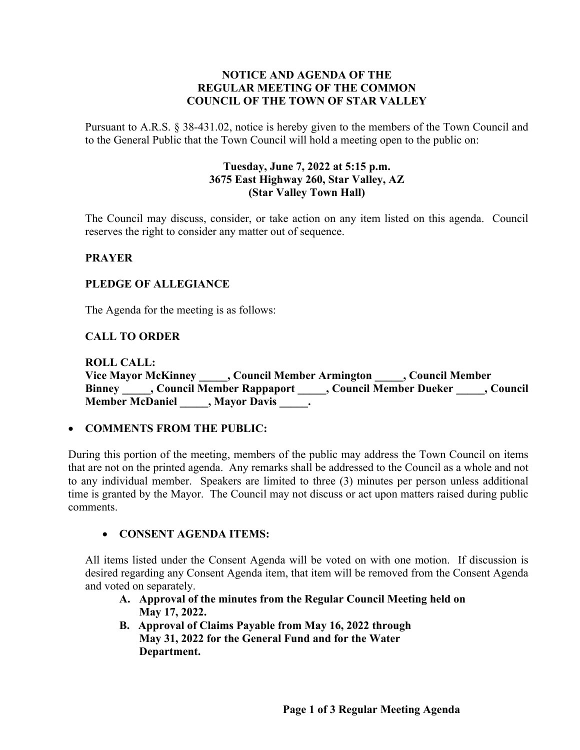## **NOTICE AND AGENDA OF THE REGULAR MEETING OF THE COMMON COUNCIL OF THE TOWN OF STAR VALLEY**

Pursuant to A.R.S. § 38-431.02, notice is hereby given to the members of the Town Council and to the General Public that the Town Council will hold a meeting open to the public on:

## **Tuesday, June 7, 2022 at 5:15 p.m. 3675 East Highway 260, Star Valley, AZ (Star Valley Town Hall)**

The Council may discuss, consider, or take action on any item listed on this agenda. Council reserves the right to consider any matter out of sequence.

## **PRAYER**

## **PLEDGE OF ALLEGIANCE**

The Agenda for the meeting is as follows:

# **CALL TO ORDER**

**ROLL CALL: Vice Mayor McKinney \_\_\_\_\_, Council Member Armington \_\_\_\_\_, Council Member Binney \_\_\_\_\_, Council Member Rappaport \_\_\_\_\_, Council Member Dueker \_\_\_\_\_, Council Member McDaniel \_\_\_\_\_, Mayor Davis \_\_\_\_\_.**

#### • **COMMENTS FROM THE PUBLIC:**

During this portion of the meeting, members of the public may address the Town Council on items that are not on the printed agenda. Any remarks shall be addressed to the Council as a whole and not to any individual member. Speakers are limited to three (3) minutes per person unless additional time is granted by the Mayor. The Council may not discuss or act upon matters raised during public comments.

#### • **CONSENT AGENDA ITEMS:**

All items listed under the Consent Agenda will be voted on with one motion. If discussion is desired regarding any Consent Agenda item, that item will be removed from the Consent Agenda and voted on separately.

- **A. Approval of the minutes from the Regular Council Meeting held on May 17, 2022.**
- **B. Approval of Claims Payable from May 16, 2022 through May 31, 2022 for the General Fund and for the Water Department.**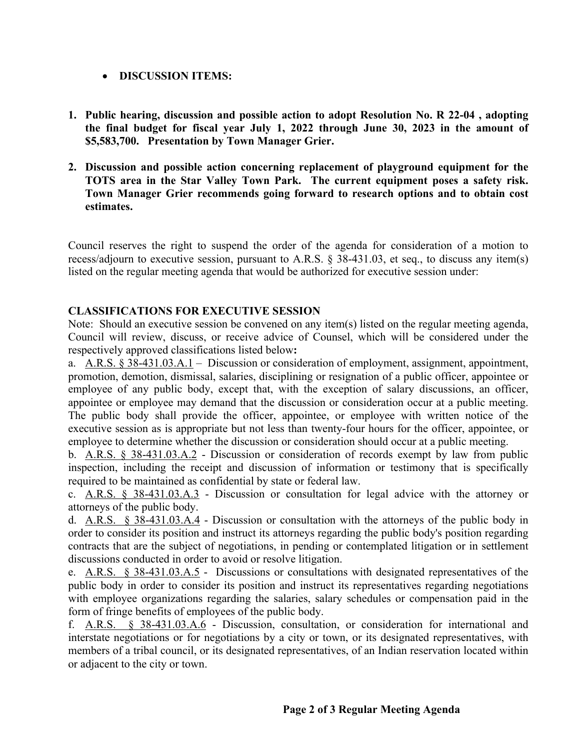# • **DISCUSSION ITEMS:**

- **1. Public hearing, discussion and possible action to adopt Resolution No. R 22-04 , adopting the final budget for fiscal year July 1, 2022 through June 30, 2023 in the amount of \$5,583,700. Presentation by Town Manager Grier.**
- **2. Discussion and possible action concerning replacement of playground equipment for the TOTS area in the Star Valley Town Park. The current equipment poses a safety risk. Town Manager Grier recommends going forward to research options and to obtain cost estimates.**

Council reserves the right to suspend the order of the agenda for consideration of a motion to recess/adjourn to executive session, pursuant to A.R.S. § 38-431.03, et seq., to discuss any item(s) listed on the regular meeting agenda that would be authorized for executive session under:

# **CLASSIFICATIONS FOR EXECUTIVE SESSION**

Note: Should an executive session be convened on any item(s) listed on the regular meeting agenda, Council will review, discuss, or receive advice of Counsel, which will be considered under the respectively approved classifications listed below**:**

a. A.R.S. § 38-431.03.A.1 – Discussion or consideration of employment, assignment, appointment, promotion, demotion, dismissal, salaries, disciplining or resignation of a public officer, appointee or employee of any public body, except that, with the exception of salary discussions, an officer, appointee or employee may demand that the discussion or consideration occur at a public meeting. The public body shall provide the officer, appointee, or employee with written notice of the executive session as is appropriate but not less than twenty-four hours for the officer, appointee, or employee to determine whether the discussion or consideration should occur at a public meeting.

b. A.R.S. § 38-431.03.A.2 - Discussion or consideration of records exempt by law from public inspection, including the receipt and discussion of information or testimony that is specifically required to be maintained as confidential by state or federal law.

c. A.R.S. § 38-431.03.A.3 - Discussion or consultation for legal advice with the attorney or attorneys of the public body.

d. A.R.S. § 38-431.03.A.4 - Discussion or consultation with the attorneys of the public body in order to consider its position and instruct its attorneys regarding the public body's position regarding contracts that are the subject of negotiations, in pending or contemplated litigation or in settlement discussions conducted in order to avoid or resolve litigation.

e. A.R.S. § 38-431.03.A.5 - Discussions or consultations with designated representatives of the public body in order to consider its position and instruct its representatives regarding negotiations with employee organizations regarding the salaries, salary schedules or compensation paid in the form of fringe benefits of employees of the public body.

f. A.R.S. § 38-431.03.A.6 - Discussion, consultation, or consideration for international and interstate negotiations or for negotiations by a city or town, or its designated representatives, with members of a tribal council, or its designated representatives, of an Indian reservation located within or adjacent to the city or town.